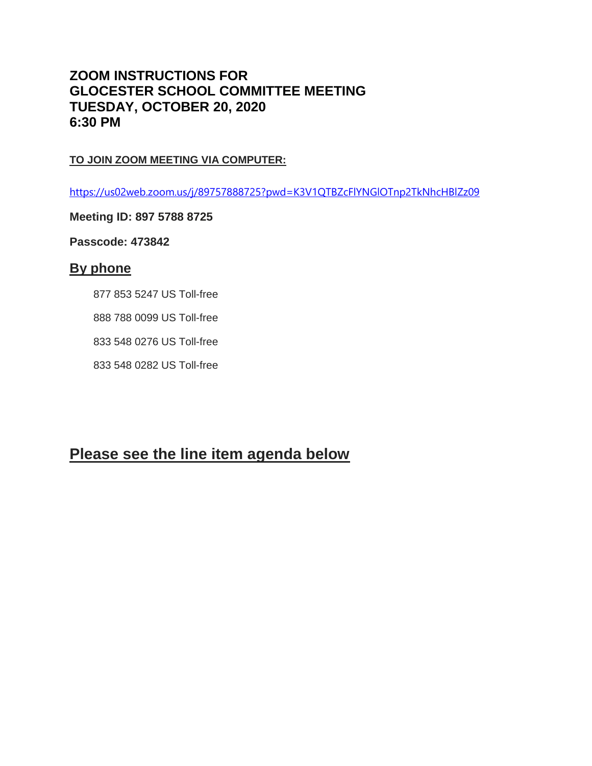# **ZOOM INSTRUCTIONS FOR GLOCESTER SCHOOL COMMITTEE MEETING TUESDAY, OCTOBER 20, 2020 6:30 PM**

### **TO JOIN ZOOM MEETING VIA COMPUTER:**

<https://us02web.zoom.us/j/89757888725?pwd=K3V1QTBZcFlYNGlOTnp2TkNhcHBlZz09>

### **Meeting ID: 897 5788 8725**

**Passcode: 473842**

## **By phone**

877 853 5247 US Toll-free

888 788 0099 US Toll-free

833 548 0276 US Toll-free

833 548 0282 US Toll-free

# **Please see the line item agenda below**